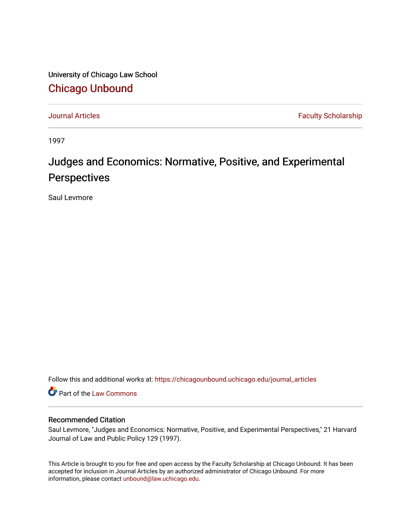University of Chicago Law School [Chicago Unbound](https://chicagounbound.uchicago.edu/)

[Journal Articles](https://chicagounbound.uchicago.edu/journal_articles) **Faculty Scholarship Journal Articles** 

1997

# Judges and Economics: Normative, Positive, and Experimental **Perspectives**

Saul Levmore

Follow this and additional works at: [https://chicagounbound.uchicago.edu/journal\\_articles](https://chicagounbound.uchicago.edu/journal_articles?utm_source=chicagounbound.uchicago.edu%2Fjournal_articles%2F1610&utm_medium=PDF&utm_campaign=PDFCoverPages) 

Part of the [Law Commons](http://network.bepress.com/hgg/discipline/578?utm_source=chicagounbound.uchicago.edu%2Fjournal_articles%2F1610&utm_medium=PDF&utm_campaign=PDFCoverPages)

### Recommended Citation

Saul Levmore, "Judges and Economics: Normative, Positive, and Experimental Perspectives," 21 Harvard Journal of Law and Public Policy 129 (1997).

This Article is brought to you for free and open access by the Faculty Scholarship at Chicago Unbound. It has been accepted for inclusion in Journal Articles by an authorized administrator of Chicago Unbound. For more information, please contact [unbound@law.uchicago.edu](mailto:unbound@law.uchicago.edu).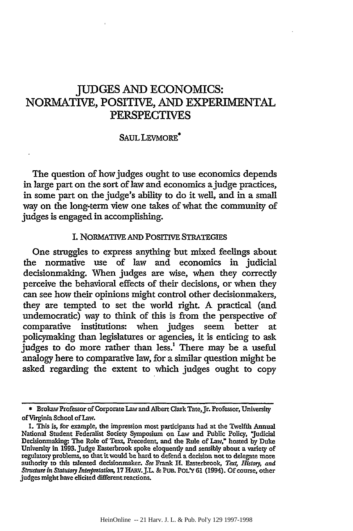# JUDGES AND ECONOMICS: NORMATIVE, POSITIVE, AND EXPERIMENTAL PERSPECTIVES

#### SAUL LEVMORE\*

The question of how judges ought to use economics depends in large part on the sort of law and economics a judge practices, in some part on the judge's ability to do it well, and in a small way on the long-term view one takes of what the community of judges is engaged in accomplishing.

#### I. NoRMATIVE AND POSITIVE STRATEGIES

One struggles to express anything but mixed feelings about the normative use of law and economics in judicial decisionmaking. When judges are wise, when they correctly perceive the behavioral effects of their decisions, or when they can see how their opinions might control other decisionmakers, they are tempted to set the world right. A practical (and undemocratic) way to think of this is from the perspective of comparative institutions: when judges seem better at policymaking than legislatures or agencies, it is enticing to ask judges to do more rather than less.<sup>1</sup> There may be a useful analogy here to comparative law, for a similar question might be asked regarding the extent to which judges ought to copy

<sup>\*</sup> Brokaw Professor of Corporate Law and Albert Clark Tate,Jr. Professor, University of Virginia School of Law.

**<sup>1.</sup>** This is, for example, the impression most participants had at the Twelfth Annual National Student Federalist Society Symposium on Law and Public Policy, "Judicial Decisionmaking: The Role of Text, Precedent, and the Rule of Law," hosted **by** Duke University in 1993. Judge Easterbrook spoke eloquently and sensibly about a variety of regulatory problems, so that it would be hard to defend a decision not to delegate more authority to this talented decisionmaker. *See* Frank **.** Easterbrook, *Text Hsto3y, and StMtUre in Stut"y Inerp re art,* **17** HARV.J.L. **&** PUB. PoLY **61** (1994). **Of** course, other judges might have elicited different reactions.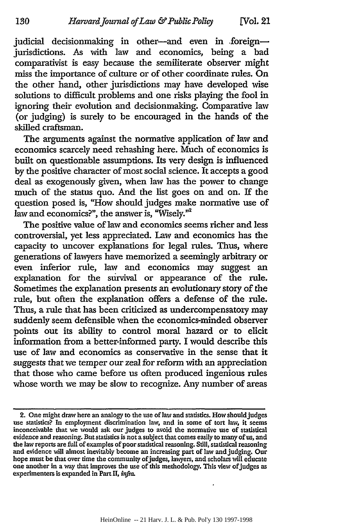judicial decisionmaking in other-and even in foreignjurisdictions. As with law and economics, being a bad comparativist is easy because the semiliterate observer might miss the importance of culture or of other coordinate rules. On the other hand, other jurisdictions may have developed wise solutions to difficult problems and one risks playing the fool in ignoring their evolution and decisionmaking. Comparative law (or judging) is surely to be encouraged in the hands of the skilled craftsman.

130

The arguments against the normative application of law and economics scarcely need rehashing here. Much of economics is built on questionable assumptions. Its very design is influenced by the positive character of most social science. It accepts a good deal as exogenously given, when law has the power to change much of the status quo. And the list goes on and on. If the question posed is, "How should judges make normative use of law and economics?", the answer is, "Wisely."<sup>2</sup>

The positive value of law and economics seems richer and less controversial, yet less appreciated. Law and economics has the capacity to uncover explanations for legal rules. Thus, where generations of lawyers have memorized a seemingly arbitrary or even inferior rule, law and economics may suggest an explanation for the survival or appearance of the rule. Sometimes the explanation presents an evolutionary story of the rule, but often the explanation offers a defense of the rule. Thus, a rule that has been criticized as undercompensatory may suddenly seem defensible when the economics-minded observer points out its ability to control moral hazard or to elicit information from a better-informed party. I would describe this use of law and economics as conservative in the sense that it suggests that we temper our zeal for reform with an appreciation that those who came before us often produced ingenious rules whose worth we may be slow to recognize. Any number of areas

<sup>2.</sup> One might draw here an analogy to the use of law and statistics. How should judges use statistics? In employment discrimination law, and in some of tort law, it seems inconceivable that we would ask our judges to avoid evidence and reasoning. But statistics is not a subject that comes easily to many of us, and the law reports are full of examples of poor statistical reasoning. Still, statistical reasoning and evidence will almost inevitably become an increasing part of law and judging. Our hope must be that over time the community of judges, lawyers, and scholars will educate one another in a way that improves the use of this methodology. This view of judges as experimenters is expanded in Part II, *infra*.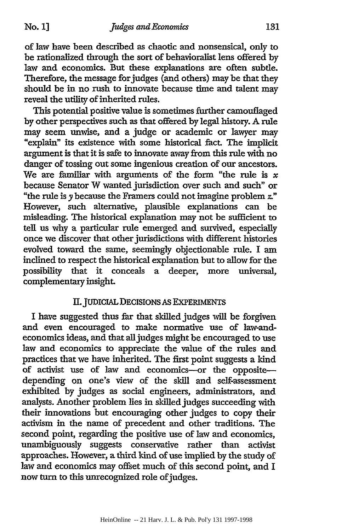of law have been described as chaotic and nonsensical, only to be rationalized through the sort of behavioralist lens offered by law and economics. But these explanations are often subtle. Therefore, the message for judges (and others) may be that they should be in no rush to innovate because time and talent may reveal the utility of inherited rules.

This potential positive value is sometimes further camouflaged by other perspectives such as that offered by legal history. **A** rule may seem unwise, and a judge or academic or lawyer may "explain" its existence with some historical fact. The implicit argument is that it is safe to innovate away from this rule with no danger of tossing out some ingenious creation of our ancestors. We are familiar with arguments of the form "the rule is  $x$ because Senator W wanted jurisdiction over such and such" or "the rule is y because the Framers could not imagine problem *Z."* However, such alternative, plausible explanations can be misleading. The historical explanation may not be sufficient to tell us why a particular rule emerged and survived, especially once we discover that other jurisdictions with different histories evolved toward the same, seemingly objectionable rule. I am inclined to respect the historical explanation but to allow for the possibility that it conceals a deeper, more universal, complementary insight.

## **II.** JUDICIAL DECISIONS **AS** EXPERIMENTS

I have suggested thus far that skilled judges will be forgiven and even encouraged to make normative use of law-andeconomics ideas, and that all judges might be encouraged to use law and economics to appreciate the value of the rules and practices that we have inherited. **The** first point suggests a kind of activist use of law and economics-or the oppositedepending on one's view of the skill and self-assessment exhibited by judges as social engineers, administrators, and analysts. Another problem lies in skilled judges succeeding with their innovations but encouraging other judges to copy their activism in the name of precedent and other traditions. The second point, regarding the positive use of law and economics, unambiguously suggests conservative rather than activist approaches. However, a third kind of use implied by the study of law and economics may offset much of this second point, and I now turn to this unrecognized role of judges.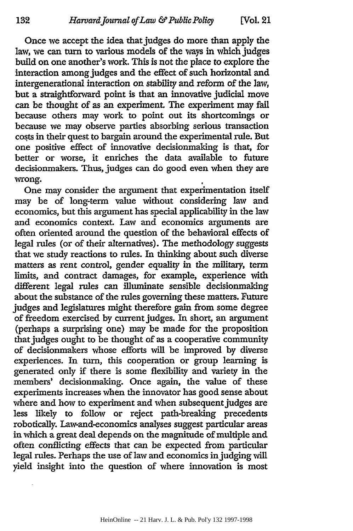Once we accept the idea that judges do more than apply the law, we can **turn** to various models of the ways in which judges build on one another's work. This is not the place to explore the interaction among judges and the effect of such horizontal and intergenerational interaction on stability and reform of the law, but a straightforward point is that an innovative judicial move can be thought of as an experiment. The experiment may fail because others may work to point out its shortcomings or because we may observe parties absorbing serious transaction costs in their quest to bargain around the experimental rule. But one positive effect of innovative decisionmaking is that, for better or worse, it enriches the data available to future decisionmakers. Thus, judges can do good even when they are wrong.

One may consider the argument that experimentation itself may be of long-term value without considering law and economics, but this argument has special applicability in the law and economics context. Law and economics arguments are often oriented around the question of the behavioral effects of legal rules (or of their alternatives). The methodology suggests that we study reactions to rules. In thinking about such diverse matters as rent control, gender equality in the military, term limits, and contract damages, for example, experience with different legal rules can illuminate sensible decisionmaking about the substance of the rules governing these matters. Future judges and legislatures might therefore gain from some degree of freedom exercised by current judges. In short, an argument (perhaps a surprising one) may be made for the proposition that judges ought to be thought of as a cooperative community of decisionmakers whose efforts will be improved by diverse experiences. In turn, this cooperation or group learning is generated only if there is some flexibility and variety in the members' decisionmaking. Once again, the value of these experiments increases when the innovator has good sense about where and how to experiment and when subsequent judges are less likely to follow or reject path-breaking precedents robotically. Law-and-economics analyses suggest particular areas in which a great deal depends on the magnitude of multiple and often conflicting effects that can be expected from particular legal rules. Perhaps the use of law and economics in judging will yield insight into the question of where innovation is most

132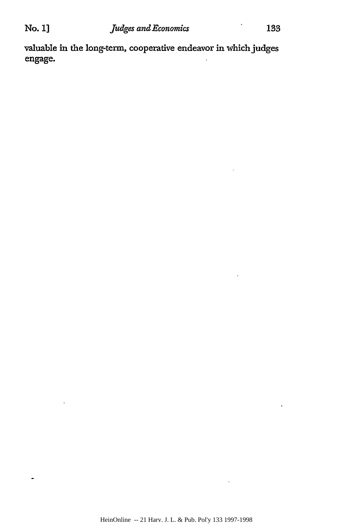ä,

 $\overline{a}$ 

valuable in the long-term, cooperative endeavor in which judges engage.

l,